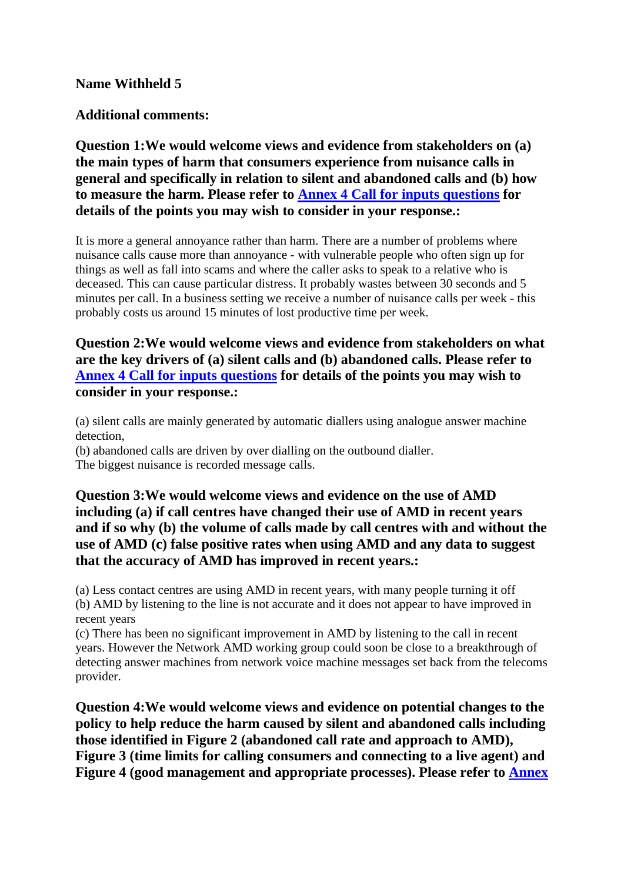#### **Name Withheld 5**

### **Additional comments:**

**Question 1:We would welcome views and evidence from stakeholders on (a) the main types of harm that consumers experience from nuisance calls in general and specifically in relation to silent and abandoned calls and (b) how to measure the harm. Please refer to Annex 4 Call for inputs questions for details of the points you may wish to consider in your response.:**

It is more a general annoyance rather than harm. There are a number of problems where nuisance calls cause more than annoyance - with vulnerable people who often sign up for things as well as fall into scams and where the caller asks to speak to a relative who is deceased. This can cause particular distress. It probably wastes between 30 seconds and 5 minutes per call. In a business setting we receive a number of nuisance calls per week - this probably costs us around 15 minutes of lost productive time per week.

# **Question 2:We would welcome views and evidence from stakeholders on what are the key drivers of (a) silent calls and (b) abandoned calls. Please refer to Annex 4 Call for inputs questions for details of the points you may wish to consider in your response.:**

(a) silent calls are mainly generated by automatic diallers using analogue answer machine detection,

(b) abandoned calls are driven by over dialling on the outbound dialler. The biggest nuisance is recorded message calls.

# **Question 3:We would welcome views and evidence on the use of AMD including (a) if call centres have changed their use of AMD in recent years and if so why (b) the volume of calls made by call centres with and without the use of AMD (c) false positive rates when using AMD and any data to suggest that the accuracy of AMD has improved in recent years.:**

(a) Less contact centres are using AMD in recent years, with many people turning it off (b) AMD by listening to the line is not accurate and it does not appear to have improved in recent years

(c) There has been no significant improvement in AMD by listening to the call in recent years. However the Network AMD working group could soon be close to a breakthrough of detecting answer machines from network voice machine messages set back from the telecoms provider.

**Question 4:We would welcome views and evidence on potential changes to the policy to help reduce the harm caused by silent and abandoned calls including those identified in Figure 2 (abandoned call rate and approach to AMD), Figure 3 (time limits for calling consumers and connecting to a live agent) and Figure 4 (good management and appropriate processes). Please refer to Annex**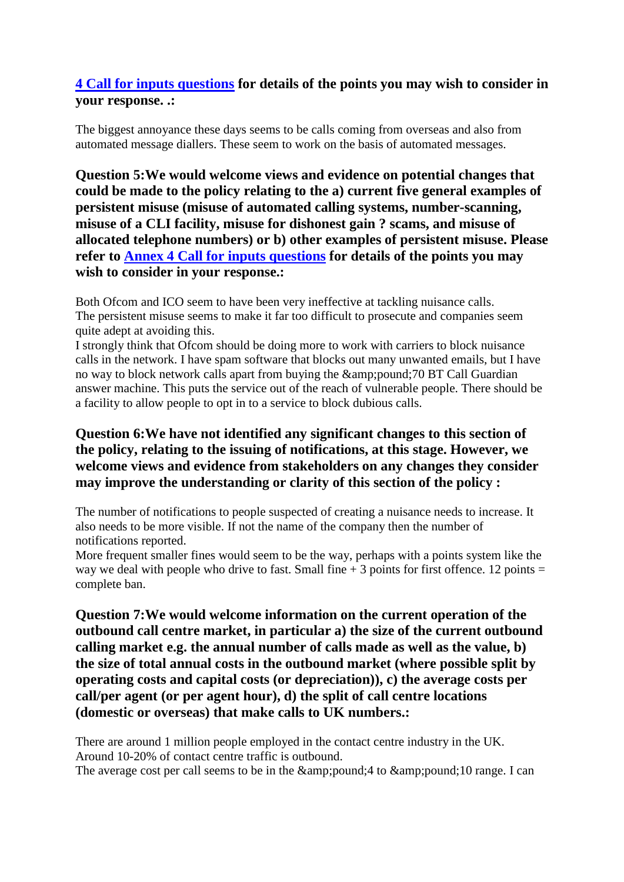# **4 Call for inputs questions for details of the points you may wish to consider in your response. .:**

The biggest annoyance these days seems to be calls coming from overseas and also from automated message diallers. These seem to work on the basis of automated messages.

**Question 5:We would welcome views and evidence on potential changes that could be made to the policy relating to the a) current five general examples of persistent misuse (misuse of automated calling systems, number-scanning, misuse of a CLI facility, misuse for dishonest gain ? scams, and misuse of allocated telephone numbers) or b) other examples of persistent misuse. Please refer to Annex 4 Call for inputs questions for details of the points you may wish to consider in your response.:**

Both Ofcom and ICO seem to have been very ineffective at tackling nuisance calls. The persistent misuse seems to make it far too difficult to prosecute and companies seem quite adept at avoiding this.

I strongly think that Ofcom should be doing more to work with carriers to block nuisance calls in the network. I have spam software that blocks out many unwanted emails, but I have no way to block network calls apart from buying the  $\&ipound70 BT Call Guardian$ answer machine. This puts the service out of the reach of vulnerable people. There should be a facility to allow people to opt in to a service to block dubious calls.

# **Question 6:We have not identified any significant changes to this section of the policy, relating to the issuing of notifications, at this stage. However, we welcome views and evidence from stakeholders on any changes they consider may improve the understanding or clarity of this section of the policy :**

The number of notifications to people suspected of creating a nuisance needs to increase. It also needs to be more visible. If not the name of the company then the number of notifications reported.

More frequent smaller fines would seem to be the way, perhaps with a points system like the way we deal with people who drive to fast. Small fine  $+3$  points for first offence. 12 points = complete ban.

**Question 7:We would welcome information on the current operation of the outbound call centre market, in particular a) the size of the current outbound calling market e.g. the annual number of calls made as well as the value, b) the size of total annual costs in the outbound market (where possible split by operating costs and capital costs (or depreciation)), c) the average costs per call/per agent (or per agent hour), d) the split of call centre locations (domestic or overseas) that make calls to UK numbers.:**

There are around 1 million people employed in the contact centre industry in the UK. Around 10-20% of contact centre traffic is outbound.

The average cost per call seems to be in the  $&ipound4$  to  $&ipound10$  range. I can